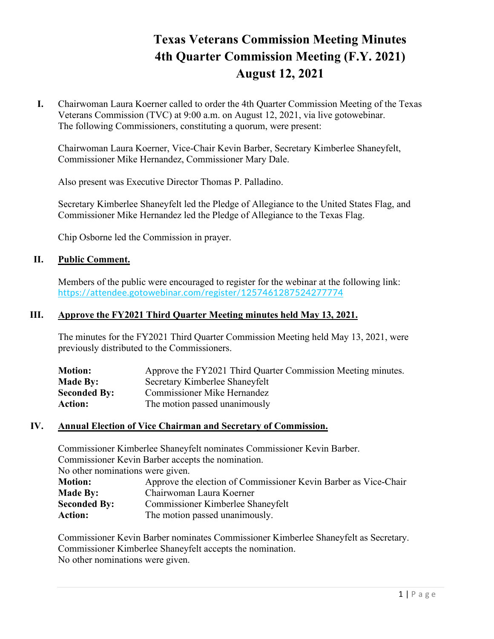# **Texas Veterans Commission Meeting Minutes 4th Quarter Commission Meeting (F.Y. 2021) August 12, 2021**

**I.** Chairwoman Laura Koerner called to order the 4th Quarter Commission Meeting of the Texas Veterans Commission (TVC) at 9:00 a.m. on August 12, 2021, via live gotowebinar. The following Commissioners, constituting a quorum, were present:

Chairwoman Laura Koerner, Vice-Chair Kevin Barber, Secretary Kimberlee Shaneyfelt, Commissioner Mike Hernandez, Commissioner Mary Dale.

Also present was Executive Director Thomas P. Palladino.

Secretary Kimberlee Shaneyfelt led the Pledge of Allegiance to the United States Flag, and Commissioner Mike Hernandez led the Pledge of Allegiance to the Texas Flag.

Chip Osborne led the Commission in prayer.

## **II. Public Comment.**

Members of the public were encouraged to register for the webinar at the following link: <https://attendee.gotowebinar.com/register/1257461287524277774>

#### **III. Approve the FY2021 Third Quarter Meeting minutes held May 13, 2021.**

The minutes for the FY2021 Third Quarter Commission Meeting held May 13, 2021, were previously distributed to the Commissioners.

| <b>Motion:</b>      | Approve the FY2021 Third Quarter Commission Meeting minutes. |
|---------------------|--------------------------------------------------------------|
| <b>Made By:</b>     | Secretary Kimberlee Shaneyfelt                               |
| <b>Seconded By:</b> | <b>Commissioner Mike Hernandez</b>                           |
| <b>Action:</b>      | The motion passed unanimously                                |

#### **IV. Annual Election of Vice Chairman and Secretary of Commission.**

Commissioner Kimberlee Shaneyfelt nominates Commissioner Kevin Barber. Commissioner Kevin Barber accepts the nomination. No other nominations were given. **Motion:** Approve the election of Commissioner Kevin Barber as Vice-Chair **Made By:** Chairwoman Laura Koerner **Seconded By:** Commissioner Kimberlee Shaneyfelt Action: The motion passed unanimously.

Commissioner Kevin Barber nominates Commissioner Kimberlee Shaneyfelt as Secretary. Commissioner Kimberlee Shaneyfelt accepts the nomination. No other nominations were given.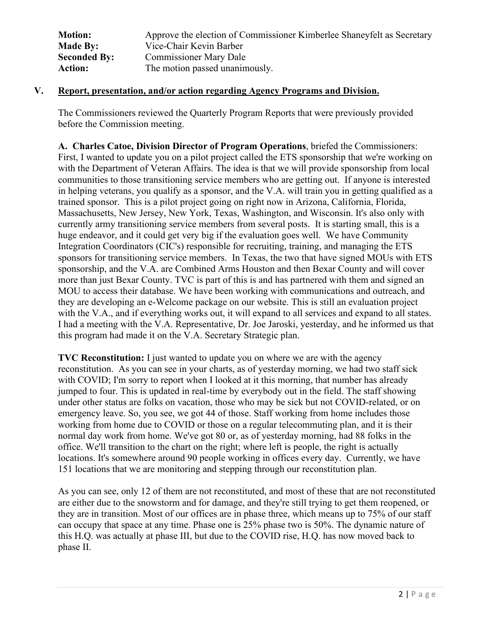| <b>Motion:</b>      | Approve the election of Commissioner Kimberlee Shaneyfelt as Secretary |
|---------------------|------------------------------------------------------------------------|
| <b>Made By:</b>     | Vice-Chair Kevin Barber                                                |
| <b>Seconded By:</b> | <b>Commissioner Mary Dale</b>                                          |
| <b>Action:</b>      | The motion passed unanimously.                                         |

## **V. Report, presentation, and/or action regarding Agency Programs and Division.**

The Commissioners reviewed the Quarterly Program Reports that were previously provided before the Commission meeting.

**A. Charles Catoe, Division Director of Program Operations**, briefed the Commissioners: First, I wanted to update you on a pilot project called the ETS sponsorship that we're working on with the Department of Veteran Affairs. The idea is that we will provide sponsorship from local communities to those transitioning service members who are getting out. If anyone is interested in helping veterans, you qualify as a sponsor, and the V.A. will train you in getting qualified as a trained sponsor. This is a pilot project going on right now in Arizona, California, Florida, Massachusetts, New Jersey, New York, Texas, Washington, and Wisconsin. It's also only with currently army transitioning service members from several posts. It is starting small, this is a huge endeavor, and it could get very big if the evaluation goes well. We have Community Integration Coordinators (CIC's) responsible for recruiting, training, and managing the ETS sponsors for transitioning service members. In Texas, the two that have signed MOUs with ETS sponsorship, and the V.A. are Combined Arms Houston and then Bexar County and will cover more than just Bexar County. TVC is part of this is and has partnered with them and signed an MOU to access their database. We have been working with communications and outreach, and they are developing an e-Welcome package on our website. This is still an evaluation project with the V.A., and if everything works out, it will expand to all services and expand to all states. I had a meeting with the V.A. Representative, Dr. Joe Jaroski, yesterday, and he informed us that this program had made it on the V.A. Secretary Strategic plan.

**TVC Reconstitution:** I just wanted to update you on where we are with the agency reconstitution. As you can see in your charts, as of yesterday morning, we had two staff sick with COVID; I'm sorry to report when I looked at it this morning, that number has already jumped to four. This is updated in real-time by everybody out in the field. The staff showing under other status are folks on vacation, those who may be sick but not COVID-related, or on emergency leave. So, you see, we got 44 of those. Staff working from home includes those working from home due to COVID or those on a regular telecommuting plan, and it is their normal day work from home. We've got 80 or, as of yesterday morning, had 88 folks in the office. We'll transition to the chart on the right; where left is people, the right is actually locations. It's somewhere around 90 people working in offices every day. Currently, we have 151 locations that we are monitoring and stepping through our reconstitution plan.

As you can see, only 12 of them are not reconstituted, and most of these that are not reconstituted are either due to the snowstorm and for damage, and they're still trying to get them reopened, or they are in transition. Most of our offices are in phase three, which means up to 75% of our staff can occupy that space at any time. Phase one is 25% phase two is 50%. The dynamic nature of this H.Q. was actually at phase III, but due to the COVID rise, H.Q. has now moved back to phase II.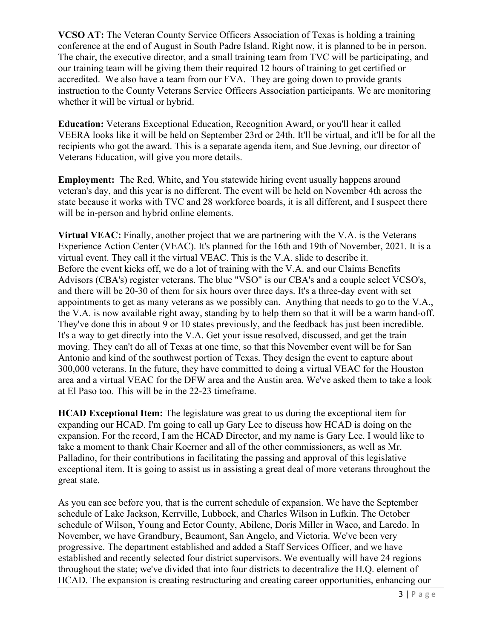**VCSO AT:** The Veteran County Service Officers Association of Texas is holding a training conference at the end of August in South Padre Island. Right now, it is planned to be in person. The chair, the executive director, and a small training team from TVC will be participating, and our training team will be giving them their required 12 hours of training to get certified or accredited. We also have a team from our FVA. They are going down to provide grants instruction to the County Veterans Service Officers Association participants. We are monitoring whether it will be virtual or hybrid.

**Education:** Veterans Exceptional Education, Recognition Award, or you'll hear it called VEERA looks like it will be held on September 23rd or 24th. It'll be virtual, and it'll be for all the recipients who got the award. This is a separate agenda item, and Sue Jevning, our director of Veterans Education, will give you more details.

**Employment:** The Red, White, and You statewide hiring event usually happens around veteran's day, and this year is no different. The event will be held on November 4th across the state because it works with TVC and 28 workforce boards, it is all different, and I suspect there will be in-person and hybrid online elements.

**Virtual VEAC:** Finally, another project that we are partnering with the V.A. is the Veterans Experience Action Center (VEAC). It's planned for the 16th and 19th of November, 2021. It is a virtual event. They call it the virtual VEAC. This is the V.A. slide to describe it. Before the event kicks off, we do a lot of training with the V.A. and our Claims Benefits Advisors (CBA's) register veterans. The blue "VSO" is our CBA's and a couple select VCSO's, and there will be 20-30 of them for six hours over three days. It's a three-day event with set appointments to get as many veterans as we possibly can. Anything that needs to go to the V.A., the V.A. is now available right away, standing by to help them so that it will be a warm hand-off. They've done this in about 9 or 10 states previously, and the feedback has just been incredible. It's a way to get directly into the V.A. Get your issue resolved, discussed, and get the train moving. They can't do all of Texas at one time, so that this November event will be for San Antonio and kind of the southwest portion of Texas. They design the event to capture about 300,000 veterans. In the future, they have committed to doing a virtual VEAC for the Houston area and a virtual VEAC for the DFW area and the Austin area. We've asked them to take a look at El Paso too. This will be in the 22-23 timeframe.

**HCAD Exceptional Item:** The legislature was great to us during the exceptional item for expanding our HCAD. I'm going to call up Gary Lee to discuss how HCAD is doing on the expansion. For the record, I am the HCAD Director, and my name is Gary Lee. I would like to take a moment to thank Chair Koerner and all of the other commissioners, as well as Mr. Palladino, for their contributions in facilitating the passing and approval of this legislative exceptional item. It is going to assist us in assisting a great deal of more veterans throughout the great state.

As you can see before you, that is the current schedule of expansion. We have the September schedule of Lake Jackson, Kerrville, Lubbock, and Charles Wilson in Lufkin. The October schedule of Wilson, Young and Ector County, Abilene, Doris Miller in Waco, and Laredo. In November, we have Grandbury, Beaumont, San Angelo, and Victoria. We've been very progressive. The department established and added a Staff Services Officer, and we have established and recently selected four district supervisors. We eventually will have 24 regions throughout the state; we've divided that into four districts to decentralize the H.Q. element of HCAD. The expansion is creating restructuring and creating career opportunities, enhancing our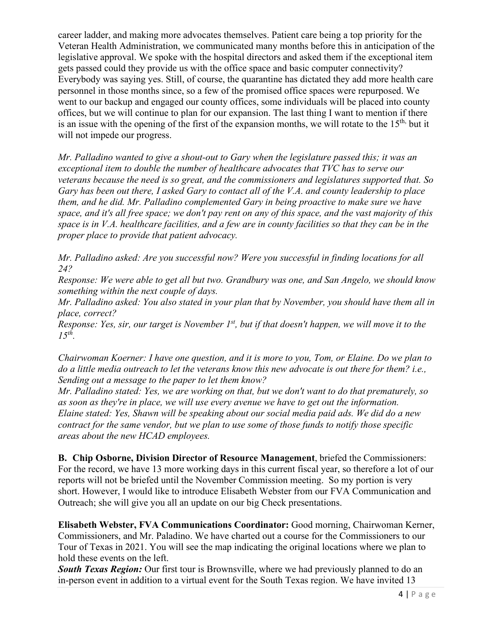career ladder, and making more advocates themselves. Patient care being a top priority for the Veteran Health Administration, we communicated many months before this in anticipation of the legislative approval. We spoke with the hospital directors and asked them if the exceptional item gets passed could they provide us with the office space and basic computer connectivity? Everybody was saying yes. Still, of course, the quarantine has dictated they add more health care personnel in those months since, so a few of the promised office spaces were repurposed. We went to our backup and engaged our county offices, some individuals will be placed into county offices, but we will continue to plan for our expansion. The last thing I want to mention if there is an issue with the opening of the first of the expansion months, we will rotate to the  $15<sup>th</sup>$ , but it will not impede our progress.

*Mr. Palladino wanted to give a shout-out to Gary when the legislature passed this; it was an exceptional item to double the number of healthcare advocates that TVC has to serve our veterans because the need is so great, and the commissioners and legislatures supported that. So Gary has been out there, I asked Gary to contact all of the V.A. and county leadership to place them, and he did. Mr. Palladino complemented Gary in being proactive to make sure we have space, and it's all free space; we don't pay rent on any of this space, and the vast majority of this space is in V.A. healthcare facilities, and a few are in county facilities so that they can be in the proper place to provide that patient advocacy.* 

*Mr. Palladino asked: Are you successful now? Were you successful in finding locations for all 24?* 

*Response: We were able to get all but two. Grandbury was one, and San Angelo, we should know something within the next couple of days.* 

*Mr. Palladino asked: You also stated in your plan that by November, you should have them all in place, correct?* 

Response: Yes, sir, our target is November 1<sup>st</sup>, but if that doesn't happen, we will move it to the *15th.*

*Chairwoman Koerner: I have one question, and it is more to you, Tom, or Elaine. Do we plan to do a little media outreach to let the veterans know this new advocate is out there for them? i.e., Sending out a message to the paper to let them know?*

*Mr. Palladino stated: Yes, we are working on that, but we don't want to do that prematurely, so as soon as they're in place, we will use every avenue we have to get out the information. Elaine stated: Yes, Shawn will be speaking about our social media paid ads. We did do a new contract for the same vendor, but we plan to use some of those funds to notify those specific areas about the new HCAD employees.*

**B. Chip Osborne, Division Director of Resource Management**, briefed the Commissioners: For the record, we have 13 more working days in this current fiscal year, so therefore a lot of our reports will not be briefed until the November Commission meeting. So my portion is very short. However, I would like to introduce Elisabeth Webster from our FVA Communication and Outreach; she will give you all an update on our big Check presentations.

**Elisabeth Webster, FVA Communications Coordinator:** Good morning, Chairwoman Kerner, Commissioners, and Mr. Paladino. We have charted out a course for the Commissioners to our Tour of Texas in 2021. You will see the map indicating the original locations where we plan to hold these events on the left.

**South Texas Region:** Our first tour is Brownsville, where we had previously planned to do an in-person event in addition to a virtual event for the South Texas region. We have invited 13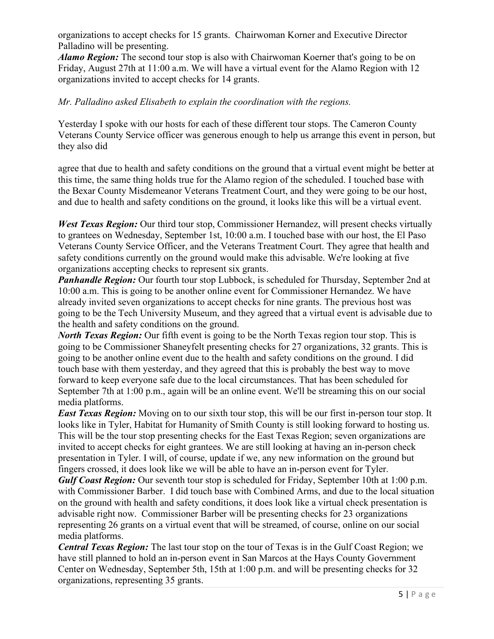organizations to accept checks for 15 grants. Chairwoman Korner and Executive Director Palladino will be presenting.

*Alamo Region:* The second tour stop is also with Chairwoman Koerner that's going to be on Friday, August 27th at 11:00 a.m. We will have a virtual event for the Alamo Region with 12 organizations invited to accept checks for 14 grants.

## *Mr. Palladino asked Elisabeth to explain the coordination with the regions.*

Yesterday I spoke with our hosts for each of these different tour stops. The Cameron County Veterans County Service officer was generous enough to help us arrange this event in person, but they also did

agree that due to health and safety conditions on the ground that a virtual event might be better at this time, the same thing holds true for the Alamo region of the scheduled. I touched base with the Bexar County Misdemeanor Veterans Treatment Court, and they were going to be our host, and due to health and safety conditions on the ground, it looks like this will be a virtual event.

*West Texas Region:* Our third tour stop, Commissioner Hernandez, will present checks virtually to grantees on Wednesday, September 1st, 10:00 a.m. I touched base with our host, the El Paso Veterans County Service Officer, and the Veterans Treatment Court. They agree that health and safety conditions currently on the ground would make this advisable. We're looking at five organizations accepting checks to represent six grants.

*Panhandle Region:* Our fourth tour stop Lubbock, is scheduled for Thursday, September 2nd at 10:00 a.m. This is going to be another online event for Commissioner Hernandez. We have already invited seven organizations to accept checks for nine grants. The previous host was going to be the Tech University Museum, and they agreed that a virtual event is advisable due to the health and safety conditions on the ground.

*North Texas Region:* Our fifth event is going to be the North Texas region tour stop. This is going to be Commissioner Shaneyfelt presenting checks for 27 organizations, 32 grants. This is going to be another online event due to the health and safety conditions on the ground. I did touch base with them yesterday, and they agreed that this is probably the best way to move forward to keep everyone safe due to the local circumstances. That has been scheduled for September 7th at 1:00 p.m., again will be an online event. We'll be streaming this on our social media platforms.

*East Texas Region:* Moving on to our sixth tour stop, this will be our first in-person tour stop. It looks like in Tyler, Habitat for Humanity of Smith County is still looking forward to hosting us. This will be the tour stop presenting checks for the East Texas Region; seven organizations are invited to accept checks for eight grantees. We are still looking at having an in-person check presentation in Tyler. I will, of course, update if we, any new information on the ground but fingers crossed, it does look like we will be able to have an in-person event for Tyler.

*Gulf Coast Region:* Our seventh tour stop is scheduled for Friday, September 10th at 1:00 p.m. with Commissioner Barber. I did touch base with Combined Arms, and due to the local situation on the ground with health and safety conditions, it does look like a virtual check presentation is advisable right now. Commissioner Barber will be presenting checks for 23 organizations representing 26 grants on a virtual event that will be streamed, of course, online on our social media platforms.

*Central Texas Region:* The last tour stop on the tour of Texas is in the Gulf Coast Region; we have still planned to hold an in-person event in San Marcos at the Hays County Government Center on Wednesday, September 5th, 15th at 1:00 p.m. and will be presenting checks for 32 organizations, representing 35 grants.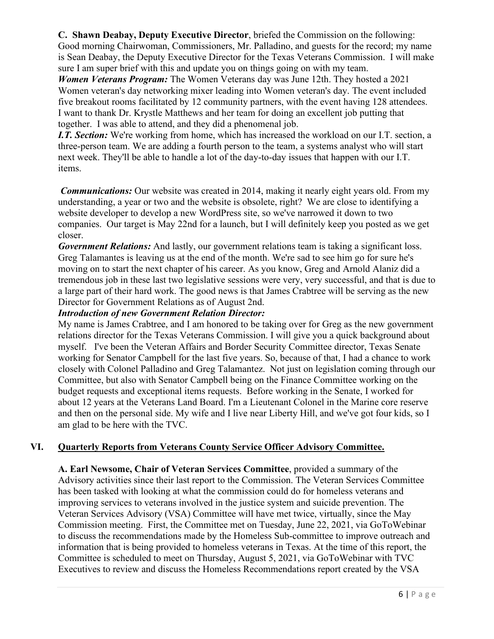**C. Shawn Deabay, Deputy Executive Director**, briefed the Commission on the following: Good morning Chairwoman, Commissioners, Mr. Palladino, and guests for the record; my name is Sean Deabay, the Deputy Executive Director for the Texas Veterans Commission. I will make sure I am super brief with this and update you on things going on with my team.

*Women Veterans Program:* The Women Veterans day was June 12th. They hosted a 2021 Women veteran's day networking mixer leading into Women veteran's day. The event included five breakout rooms facilitated by 12 community partners, with the event having 128 attendees. I want to thank Dr. Krystle Matthews and her team for doing an excellent job putting that together. I was able to attend, and they did a phenomenal job.

*I.T. Section:* We're working from home, which has increased the workload on our I.T. section, a three-person team. We are adding a fourth person to the team, a systems analyst who will start next week. They'll be able to handle a lot of the day-to-day issues that happen with our I.T. items.

*Communications:* Our website was created in 2014, making it nearly eight years old. From my understanding, a year or two and the website is obsolete, right? We are close to identifying a website developer to develop a new WordPress site, so we've narrowed it down to two companies. Our target is May 22nd for a launch, but I will definitely keep you posted as we get closer.

*Government Relations:* And lastly, our government relations team is taking a significant loss. Greg Talamantes is leaving us at the end of the month. We're sad to see him go for sure he's moving on to start the next chapter of his career. As you know, Greg and Arnold Alaniz did a tremendous job in these last two legislative sessions were very, very successful, and that is due to a large part of their hard work. The good news is that James Crabtree will be serving as the new Director for Government Relations as of August 2nd.

## *Introduction of new Government Relation Director:*

My name is James Crabtree, and I am honored to be taking over for Greg as the new government relations director for the Texas Veterans Commission. I will give you a quick background about myself. I've been the Veteran Affairs and Border Security Committee director, Texas Senate working for Senator Campbell for the last five years. So, because of that, I had a chance to work closely with Colonel Palladino and Greg Talamantez. Not just on legislation coming through our Committee, but also with Senator Campbell being on the Finance Committee working on the budget requests and exceptional items requests. Before working in the Senate, I worked for about 12 years at the Veterans Land Board. I'm a Lieutenant Colonel in the Marine core reserve and then on the personal side. My wife and I live near Liberty Hill, and we've got four kids, so I am glad to be here with the TVC.

## **VI. Quarterly Reports from Veterans County Service Officer Advisory Committee.**

**A. Earl Newsome, Chair of Veteran Services Committee**, provided a summary of the Advisory activities since their last report to the Commission. The Veteran Services Committee has been tasked with looking at what the commission could do for homeless veterans and improving services to veterans involved in the justice system and suicide prevention. The Veteran Services Advisory (VSA) Committee will have met twice, virtually, since the May Commission meeting. First, the Committee met on Tuesday, June 22, 2021, via GoToWebinar to discuss the recommendations made by the Homeless Sub-committee to improve outreach and information that is being provided to homeless veterans in Texas. At the time of this report, the Committee is scheduled to meet on Thursday, August 5, 2021, via GoToWebinar with TVC Executives to review and discuss the Homeless Recommendations report created by the VSA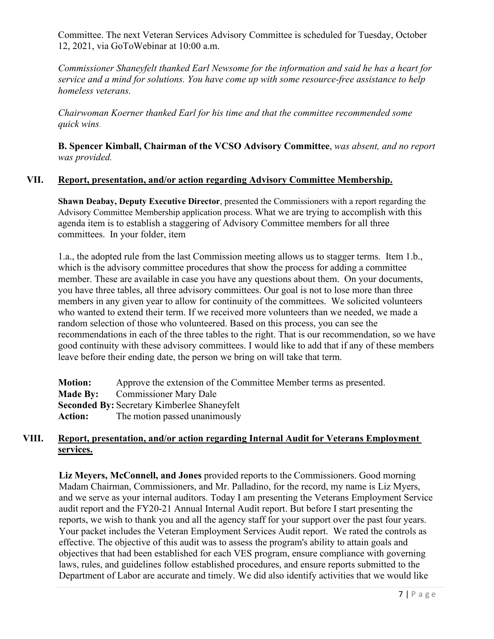Committee. The next Veteran Services Advisory Committee is scheduled for Tuesday, October 12, 2021, via GoToWebinar at 10:00 a.m.

*Commissioner Shaneyfelt thanked Earl Newsome for the information and said he has a heart for service and a mind for solutions. You have come up with some resource-free assistance to help homeless veterans.* 

*Chairwoman Koerner thanked Earl for his time and that the committee recommended some quick wins.*

**B. Spencer Kimball, Chairman of the VCSO Advisory Committee**, *was absent, and no report was provided.*

## **VII. Report, presentation, and/or action regarding Advisory Committee Membership.**

**Shawn Deabay, Deputy Executive Director**, presented the Commissioners with a report regarding the Advisory Committee Membership application process. What we are trying to accomplish with this agenda item is to establish a staggering of Advisory Committee members for all three committees. In your folder, item

1.a., the adopted rule from the last Commission meeting allows us to stagger terms. Item 1.b., which is the advisory committee procedures that show the process for adding a committee member. These are available in case you have any questions about them. On your documents, you have three tables, all three advisory committees. Our goal is not to lose more than three members in any given year to allow for continuity of the committees. We solicited volunteers who wanted to extend their term. If we received more volunteers than we needed, we made a random selection of those who volunteered. Based on this process, you can see the recommendations in each of the three tables to the right. That is our recommendation, so we have good continuity with these advisory committees. I would like to add that if any of these members leave before their ending date, the person we bring on will take that term.

| <b>Motion:</b>                                     | Approve the extension of the Committee Member terms as presented. |  |
|----------------------------------------------------|-------------------------------------------------------------------|--|
|                                                    | <b>Made By:</b> Commissioner Mary Dale                            |  |
| <b>Seconded By: Secretary Kimberlee Shaneyfelt</b> |                                                                   |  |
| <b>Action:</b>                                     | The motion passed unanimously                                     |  |

## **VIII. Report, presentation, and/or action regarding Internal Audit for Veterans Employment services.**

**Liz Meyers, McConnell, and Jones** provided reports to the Commissioners. Good morning Madam Chairman, Commissioners, and Mr. Palladino, for the record, my name is Liz Myers, and we serve as your internal auditors. Today I am presenting the Veterans Employment Service audit report and the FY20-21 Annual Internal Audit report. But before I start presenting the reports, we wish to thank you and all the agency staff for your support over the past four years. Your packet includes the Veteran Employment Services Audit report. We rated the controls as effective. The objective of this audit was to assess the program's ability to attain goals and objectives that had been established for each VES program, ensure compliance with governing laws, rules, and guidelines follow established procedures, and ensure reports submitted to the Department of Labor are accurate and timely. We did also identify activities that we would like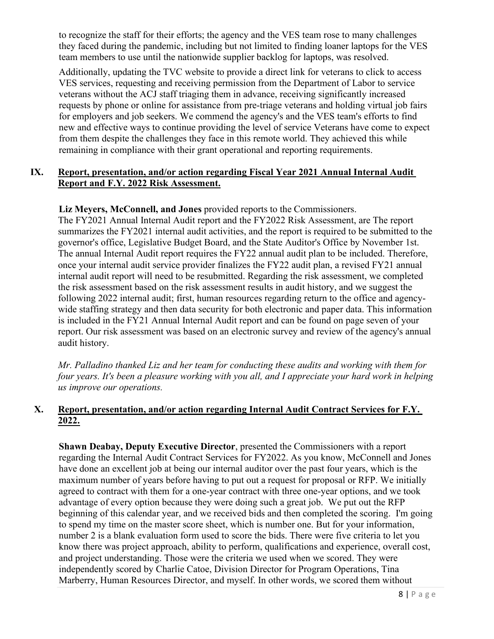to recognize the staff for their efforts; the agency and the VES team rose to many challenges they faced during the pandemic, including but not limited to finding loaner laptops for the VES team members to use until the nationwide supplier backlog for laptops, was resolved.

Additionally, updating the TVC website to provide a direct link for veterans to click to access VES services, requesting and receiving permission from the Department of Labor to service veterans without the ACJ staff triaging them in advance, receiving significantly increased requests by phone or online for assistance from pre-triage veterans and holding virtual job fairs for employers and job seekers. We commend the agency's and the VES team's efforts to find new and effective ways to continue providing the level of service Veterans have come to expect from them despite the challenges they face in this remote world. They achieved this while remaining in compliance with their grant operational and reporting requirements.

## **IX. Report, presentation, and/or action regarding Fiscal Year 2021 Annual Internal Audit Report and F.Y. 2022 Risk Assessment.**

## **Liz Meyers, McConnell, and Jones** provided reports to the Commissioners.

The FY2021 Annual Internal Audit report and the FY2022 Risk Assessment, are The report summarizes the FY2021 internal audit activities, and the report is required to be submitted to the governor's office, Legislative Budget Board, and the State Auditor's Office by November 1st. The annual Internal Audit report requires the FY22 annual audit plan to be included. Therefore, once your internal audit service provider finalizes the FY22 audit plan, a revised FY21 annual internal audit report will need to be resubmitted. Regarding the risk assessment, we completed the risk assessment based on the risk assessment results in audit history, and we suggest the following 2022 internal audit; first, human resources regarding return to the office and agencywide staffing strategy and then data security for both electronic and paper data. This information is included in the FY21 Annual Internal Audit report and can be found on page seven of your report. Our risk assessment was based on an electronic survey and review of the agency's annual audit history.

*Mr. Palladino thanked Liz and her team for conducting these audits and working with them for four years. It's been a pleasure working with you all, and I appreciate your hard work in helping us improve our operations.*

## **X. Report, presentation, and/or action regarding Internal Audit Contract Services for F.Y. 2022.**

**Shawn Deabay, Deputy Executive Director**, presented the Commissioners with a report regarding the Internal Audit Contract Services for FY2022. As you know, McConnell and Jones have done an excellent job at being our internal auditor over the past four years, which is the maximum number of years before having to put out a request for proposal or RFP. We initially agreed to contract with them for a one-year contract with three one-year options, and we took advantage of every option because they were doing such a great job. We put out the RFP beginning of this calendar year, and we received bids and then completed the scoring. I'm going to spend my time on the master score sheet, which is number one. But for your information, number 2 is a blank evaluation form used to score the bids. There were five criteria to let you know there was project approach, ability to perform, qualifications and experience, overall cost, and project understanding. Those were the criteria we used when we scored. They were independently scored by Charlie Catoe, Division Director for Program Operations, Tina Marberry, Human Resources Director, and myself. In other words, we scored them without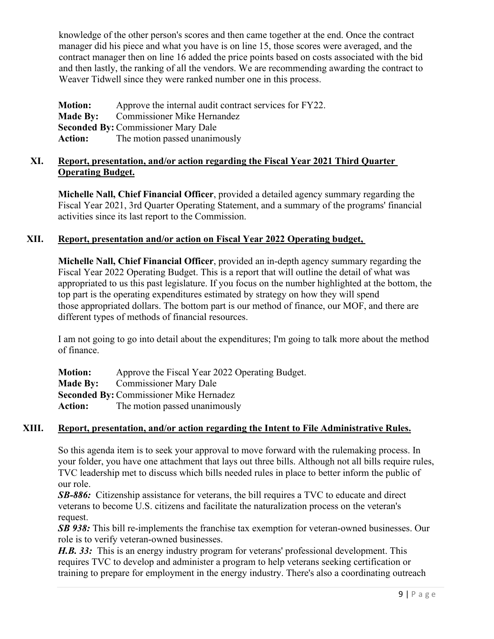knowledge of the other person's scores and then came together at the end. Once the contract manager did his piece and what you have is on line 15, those scores were averaged, and the contract manager then on line 16 added the price points based on costs associated with the bid and then lastly, the ranking of all the vendors. We are recommending awarding the contract to Weaver Tidwell since they were ranked number one in this process.

**Motion:** Approve the internal audit contract services for FY22. **Made By:** Commissioner Mike Hernandez **Seconded By:** Commissioner Mary Dale **Action:** The motion passed unanimously

## **XI. Report, presentation, and/or action regarding the Fiscal Year 2021 Third Quarter Operating Budget.**

**Michelle Nall, Chief Financial Officer**, provided a detailed agency summary regarding the Fiscal Year 2021, 3rd Quarter Operating Statement, and a summary of the programs' financial activities since its last report to the Commission.

# **XII. Report, presentation and/or action on Fiscal Year 2022 Operating budget,**

**Michelle Nall, Chief Financial Officer**, provided an in-depth agency summary regarding the Fiscal Year 2022 Operating Budget. This is a report that will outline the detail of what was appropriated to us this past legislature. If you focus on the number highlighted at the bottom, the top part is the operating expenditures estimated by strategy on how they will spend those appropriated dollars. The bottom part is our method of finance, our MOF, and there are different types of methods of financial resources.

I am not going to go into detail about the expenditures; I'm going to talk more about the method of finance.

| <b>Motion:</b> | Approve the Fiscal Year 2022 Operating Budget. |
|----------------|------------------------------------------------|
|                | <b>Made By:</b> Commissioner Mary Dale         |
|                | <b>Seconded By: Commissioner Mike Hernadez</b> |
| <b>Action:</b> | The motion passed unanimously                  |

# **XIII. Report, presentation, and/or action regarding the Intent to File Administrative Rules.**

So this agenda item is to seek your approval to move forward with the rulemaking process. In your folder, you have one attachment that lays out three bills. Although not all bills require rules, TVC leadership met to discuss which bills needed rules in place to better inform the public of our role.

*SB-886:* Citizenship assistance for veterans, the bill requires a TVC to educate and direct veterans to become U.S. citizens and facilitate the naturalization process on the veteran's request.

*SB 938:* This bill re-implements the franchise tax exemption for veteran-owned businesses. Our role is to verify veteran-owned businesses.

*H.B. 33:* This is an energy industry program for veterans' professional development. This requires TVC to develop and administer a program to help veterans seeking certification or training to prepare for employment in the energy industry. There's also a coordinating outreach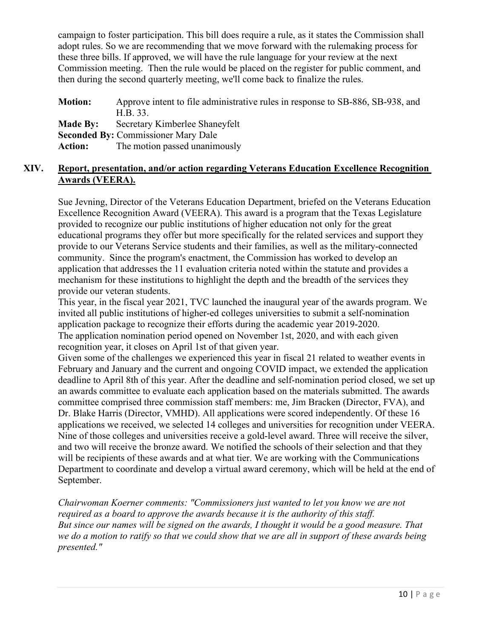campaign to foster participation. This bill does require a rule, as it states the Commission shall adopt rules. So we are recommending that we move forward with the rulemaking process for these three bills. If approved, we will have the rule language for your review at the next Commission meeting. Then the rule would be placed on the register for public comment, and then during the second quarterly meeting, we'll come back to finalize the rules.

**Motion:** Approve intent to file administrative rules in response to SB-886, SB-938, and H.B. 33. **Made By:** Secretary Kimberlee Shaneyfelt **Seconded By:** Commissioner Mary Dale **Action:** The motion passed unanimously

## **XIV. Report, presentation, and/or action regarding Veterans Education Excellence Recognition Awards (VEERA).**

Sue Jevning, Director of the Veterans Education Department, briefed on the Veterans Education Excellence Recognition Award (VEERA). This award is a program that the Texas Legislature provided to recognize our public institutions of higher education not only for the great educational programs they offer but more specifically for the related services and support they provide to our Veterans Service students and their families, as well as the military-connected community. Since the program's enactment, the Commission has worked to develop an application that addresses the 11 evaluation criteria noted within the statute and provides a mechanism for these institutions to highlight the depth and the breadth of the services they provide our veteran students.

This year, in the fiscal year 2021, TVC launched the inaugural year of the awards program. We invited all public institutions of higher-ed colleges universities to submit a self-nomination application package to recognize their efforts during the academic year 2019-2020. The application nomination period opened on November 1st, 2020, and with each given recognition year, it closes on April 1st of that given year.

Given some of the challenges we experienced this year in fiscal 21 related to weather events in February and January and the current and ongoing COVID impact, we extended the application deadline to April 8th of this year. After the deadline and self-nomination period closed, we set up an awards committee to evaluate each application based on the materials submitted. The awards committee comprised three commission staff members: me, Jim Bracken (Director, FVA), and Dr. Blake Harris (Director, VMHD). All applications were scored independently. Of these 16 applications we received, we selected 14 colleges and universities for recognition under VEERA. Nine of those colleges and universities receive a gold-level award. Three will receive the silver, and two will receive the bronze award. We notified the schools of their selection and that they will be recipients of these awards and at what tier. We are working with the Communications Department to coordinate and develop a virtual award ceremony, which will be held at the end of September.

*Chairwoman Koerner comments: "Commissioners just wanted to let you know we are not required as a board to approve the awards because it is the authority of this staff. But since our names will be signed on the awards, I thought it would be a good measure. That we do a motion to ratify so that we could show that we are all in support of these awards being presented."*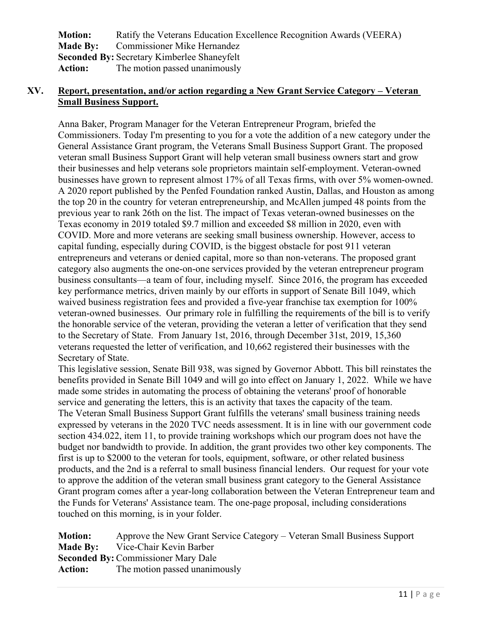| <b>Motion:</b>                                     | Ratify the Veterans Education Excellence Recognition Awards (VEERA) |  |
|----------------------------------------------------|---------------------------------------------------------------------|--|
|                                                    | <b>Made By:</b> Commissioner Mike Hernandez                         |  |
| <b>Seconded By: Secretary Kimberlee Shaneyfelt</b> |                                                                     |  |
| <b>Action:</b>                                     | The motion passed unanimously                                       |  |

## **XV. Report, presentation, and/or action regarding a New Grant Service Category – Veteran Small Business Support.**

Anna Baker, Program Manager for the Veteran Entrepreneur Program, briefed the Commissioners. Today I'm presenting to you for a vote the addition of a new category under the General Assistance Grant program, the Veterans Small Business Support Grant. The proposed veteran small Business Support Grant will help veteran small business owners start and grow their businesses and help veterans sole proprietors maintain self-employment. Veteran-owned businesses have grown to represent almost 17% of all Texas firms, with over 5% women-owned. A 2020 report published by the Penfed Foundation ranked Austin, Dallas, and Houston as among the top 20 in the country for veteran entrepreneurship, and McAllen jumped 48 points from the previous year to rank 26th on the list. The impact of Texas veteran-owned businesses on the Texas economy in 2019 totaled \$9.7 million and exceeded \$8 million in 2020, even with COVID. More and more veterans are seeking small business ownership. However, access to capital funding, especially during COVID, is the biggest obstacle for post 911 veteran entrepreneurs and veterans or denied capital, more so than non-veterans. The proposed grant category also augments the one-on-one services provided by the veteran entrepreneur program business consultants—a team of four, including myself. Since 2016, the program has exceeded key performance metrics, driven mainly by our efforts in support of Senate Bill 1049, which waived business registration fees and provided a five-year franchise tax exemption for 100% veteran-owned businesses. Our primary role in fulfilling the requirements of the bill is to verify the honorable service of the veteran, providing the veteran a letter of verification that they send to the Secretary of State. From January 1st, 2016, through December 31st, 2019, 15,360 veterans requested the letter of verification, and 10,662 registered their businesses with the Secretary of State.

This legislative session, Senate Bill 938, was signed by Governor Abbott. This bill reinstates the benefits provided in Senate Bill 1049 and will go into effect on January 1, 2022. While we have made some strides in automating the process of obtaining the veterans' proof of honorable service and generating the letters, this is an activity that taxes the capacity of the team. The Veteran Small Business Support Grant fulfills the veterans' small business training needs expressed by veterans in the 2020 TVC needs assessment. It is in line with our government code section 434.022, item 11, to provide training workshops which our program does not have the budget nor bandwidth to provide. In addition, the grant provides two other key components. The first is up to \$2000 to the veteran for tools, equipment, software, or other related business products, and the 2nd is a referral to small business financial lenders. Our request for your vote to approve the addition of the veteran small business grant category to the General Assistance Grant program comes after a year-long collaboration between the Veteran Entrepreneur team and the Funds for Veterans' Assistance team. The one-page proposal, including considerations touched on this morning, is in your folder.

| <b>Motion:</b> | Approve the New Grant Service Category – Veteran Small Business Support |
|----------------|-------------------------------------------------------------------------|
|                | <b>Made By:</b> Vice-Chair Kevin Barber                                 |
|                | <b>Seconded By: Commissioner Mary Dale</b>                              |
| Action:        | The motion passed unanimously                                           |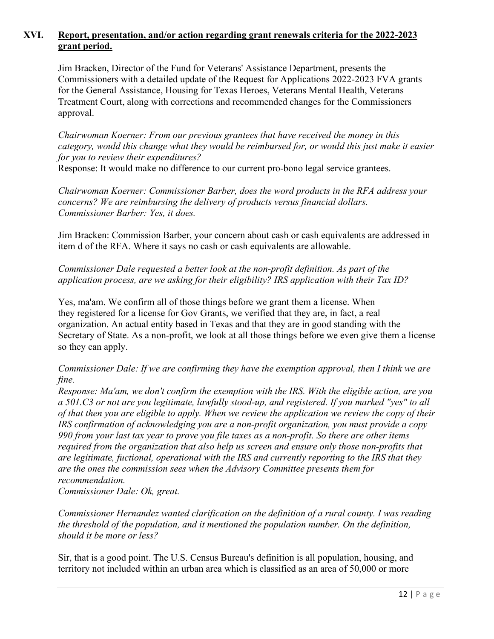## **XVI. Report, presentation, and/or action regarding grant renewals criteria for the 2022-2023 grant period.**

Jim Bracken, Director of the Fund for Veterans' Assistance Department, presents the Commissioners with a detailed update of the Request for Applications 2022-2023 FVA grants for the General Assistance, Housing for Texas Heroes, Veterans Mental Health, Veterans Treatment Court, along with corrections and recommended changes for the Commissioners approval.

*Chairwoman Koerner: From our previous grantees that have received the money in this category, would this change what they would be reimbursed for, or would this just make it easier for you to review their expenditures?*

Response: It would make no difference to our current pro-bono legal service grantees.

*Chairwoman Koerner: Commissioner Barber, does the word products in the RFA address your concerns? We are reimbursing the delivery of products versus financial dollars. Commissioner Barber: Yes, it does.*

Jim Bracken: Commission Barber, your concern about cash or cash equivalents are addressed in item d of the RFA. Where it says no cash or cash equivalents are allowable.

## *Commissioner Dale requested a better look at the non-profit definition. As part of the application process, are we asking for their eligibility? IRS application with their Tax ID?*

Yes, ma'am. We confirm all of those things before we grant them a license. When they registered for a license for Gov Grants, we verified that they are, in fact, a real organization. An actual entity based in Texas and that they are in good standing with the Secretary of State. As a non-profit, we look at all those things before we even give them a license so they can apply.

## *Commissioner Dale: If we are confirming they have the exemption approval, then I think we are fine.*

*Response: Ma'am, we don't confirm the exemption with the IRS. With the eligible action, are you a 501.C3 or not are you legitimate, lawfully stood-up, and registered. If you marked "yes" to all of that then you are eligible to apply. When we review the application we review the copy of their IRS confirmation of acknowledging you are a non-profit organization, you must provide a copy 990 from your last tax year to prove you file taxes as a non-profit. So there are other items required from the organization that also help us screen and ensure only those non-profits that are legitimate, fuctional, operational with the IRS and currently reporting to the IRS that they are the ones the commission sees when the Advisory Committee presents them for recommendation.*

*Commissioner Dale: Ok, great.*

*Commissioner Hernandez wanted clarification on the definition of a rural county. I was reading the threshold of the population, and it mentioned the population number. On the definition, should it be more or less?*

Sir, that is a good point. The U.S. Census Bureau's definition is all population, housing, and territory not included within an urban area which is classified as an area of 50,000 or more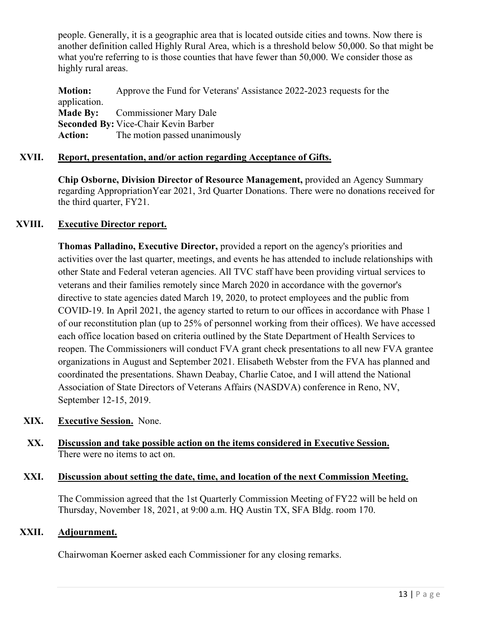people. Generally, it is a geographic area that is located outside cities and towns. Now there is another definition called Highly Rural Area, which is a threshold below 50,000. So that might be what you're referring to is those counties that have fewer than 50,000. We consider those as highly rural areas.

**Motion:** Approve the Fund for Veterans' Assistance 2022-2023 requests for the application. **Made By:** Commissioner Mary Dale **Seconded By:** Vice-Chair Kevin Barber **Action:** The motion passed unanimously

# **XVII. Report, presentation, and/or action regarding Acceptance of Gifts.**

**Chip Osborne, Division Director of Resource Management,** provided an Agency Summary regarding AppropriationYear 2021, 3rd Quarter Donations. There were no donations received for the third quarter, FY21.

## **XVIII. Executive Director report.**

**Thomas Palladino, Executive Director,** provided a report on the agency's priorities and activities over the last quarter, meetings, and events he has attended to include relationships with other State and Federal veteran agencies. All TVC staff have been providing virtual services to veterans and their families remotely since March 2020 in accordance with the governor's directive to state agencies dated March 19, 2020, to protect employees and the public from COVID-19. In April 2021, the agency started to return to our offices in accordance with Phase 1 of our reconstitution plan (up to 25% of personnel working from their offices). We have accessed each office location based on criteria outlined by the State Department of Health Services to reopen. The Commissioners will conduct FVA grant check presentations to all new FVA grantee organizations in August and September 2021. Elisabeth Webster from the FVA has planned and coordinated the presentations. Shawn Deabay, Charlie Catoe, and I will attend the National Association of State Directors of Veterans Affairs (NASDVA) conference in Reno, NV, September 12-15, 2019.

- **XIX. Executive Session.** None.
- **XX. Discussion and take possible action on the items considered in Executive Session.** There were no items to act on.

#### **XXI. Discussion about setting the date, time, and location of the next Commission Meeting.**

The Commission agreed that the 1st Quarterly Commission Meeting of FY22 will be held on Thursday, November 18, 2021, at 9:00 a.m. HQ Austin TX, SFA Bldg. room 170.

## **XXII. Adjournment.**

Chairwoman Koerner asked each Commissioner for any closing remarks.